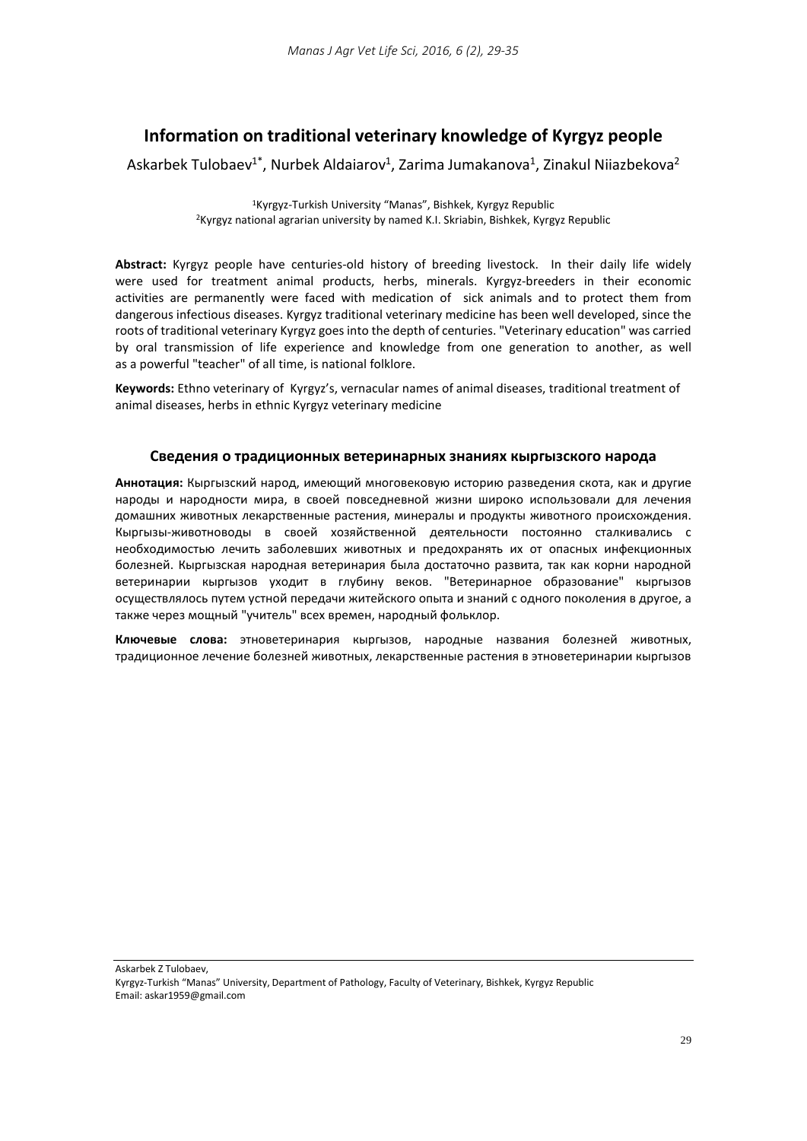# **Information on traditional veterinary knowledge of Kyrgyz people**

Askarbek Tulobaev<sup>1\*</sup>, Nurbek Aldaiarov<sup>1</sup>, Zarima Jumakanova<sup>1</sup>, Zinakul Niiazbekova<sup>2</sup>

1Kyrgyz-Turkish University "Manas", Bishkek, Kyrgyz Republic 2Kyrgyz national agrarian university by named K.I. Skriabin, Bishkek, Kyrgyz Republic

**Abstract:** Kyrgyz people have centuries-old history of breeding livestock. In their daily life widely were used for treatment animal products, herbs, minerals. Kyrgyz-breeders in their economic activities are permanently were faced with medication of sick animals and to protect them from dangerous infectious diseases. Kyrgyz traditional veterinary medicine has been well developed, since the roots of traditional veterinary Kyrgyz goes into the depth of centuries. "Veterinary education" was carried by oral transmission of life experience and knowledge from one generation to another, as well as a powerful "teacher" of all time, is national folklore.

**Keywords:** Ethno veterinary of Kyrgyz's, vernacular names of animal diseases, traditional treatment of animal diseases, herbs in ethnic Kyrgyz veterinary medicine

## **Сведения о традиционных ветеринарных знаниях кыргызского народа**

**Аннотация:** Кыргызский народ, имеющий многовековую историю разведения скота, как и другие народы и народности мира, в своей повседневной жизни широко использовали для лечения домашних животных лекарственные растения, минералы и продукты животного происхождения. Кыргызы-животноводы в своей хозяйственной деятельности постоянно сталкивались с необходимостью лечить заболевших животных и предохранять их от опасных инфекционных болезней. Кыргызская народная ветеринария была достаточно развита, так как корни народной ветеринарии кыргызов уходит в глубину веков. "Ветеринарное образование" кыргызов осуществлялось путем устной передачи житейского опыта и знаний с одного поколения в другое, а также через мощный "учитель" всех времен, народный фольклор.

**Ключевые слова:** этноветеринария кыргызов, народные названия болезней животных, традиционное лечение болезней животных, лекарственные растения в этноветеринарии кыргызов

Askarbek Z Tulobaev,

Kyrgyz-Turkish "Manas" University, Department of Pathology, Faculty of Veterinary, Bishkek, Kyrgyz Republic Email: [askar1959@gmail.com](mailto:askar1959@gmail.com)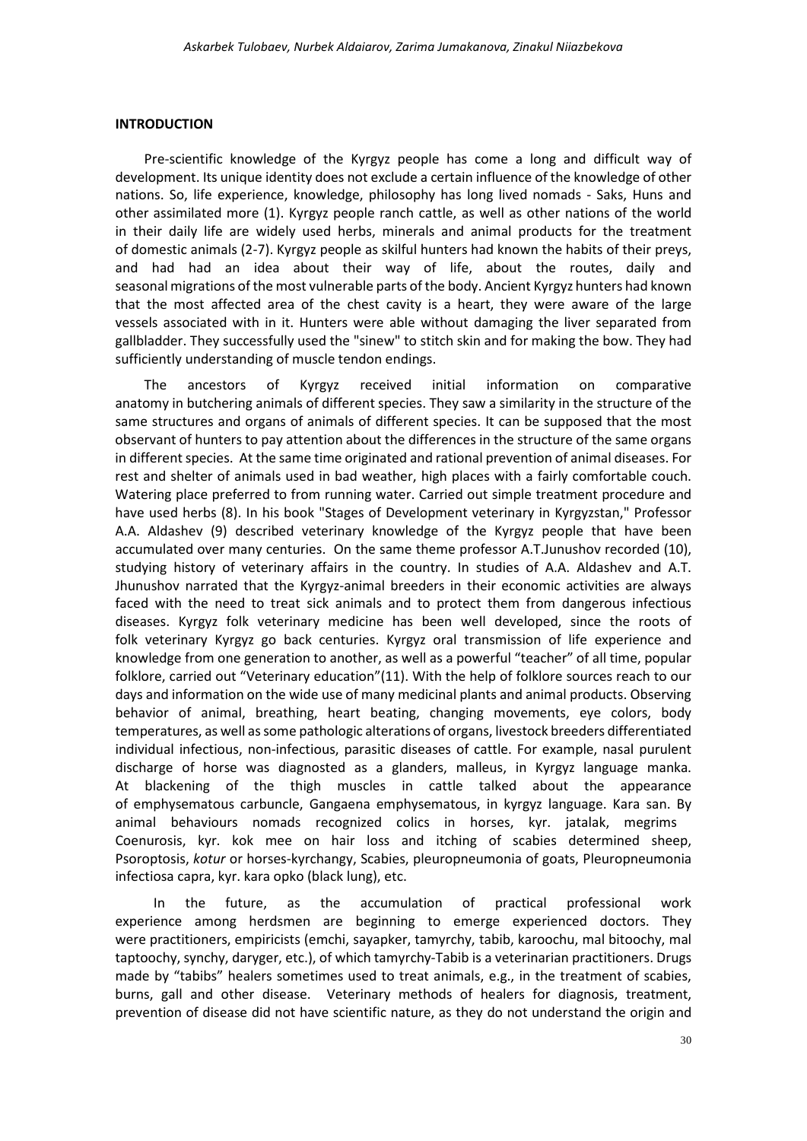### **INTRODUCTION**

Pre-scientific knowledge of the Kyrgyz people has come a long and difficult way of development. Its unique identity does not exclude a certain influence of the knowledge of other nations. So, life experience, knowledge, philosophy has long lived nomads - Saks, Huns and other assimilated more (1). Kyrgyz people ranch cattle, as well as other nations of the world in their daily life are widely used herbs, minerals and animal products for the treatment of domestic animals (2-7). Kyrgyz people as skilful hunters had known the habits of their preys, and had had an idea about their way of life, about the routes, daily and seasonal migrations of the most vulnerable parts of the body. Ancient Kyrgyz hunters had known that the most affected area of the chest cavity is a heart, they were aware of the large vessels associated with in it. Hunters were able without damaging the liver separated from gallbladder. They successfully used the "sinew" to stitch skin and for making the bow. They had sufficiently understanding of muscle tendon endings.

The ancestors of Kyrgyz received initial information on comparative anatomy in butchering animals of different species. They saw a similarity in the structure of the same structures and organs of animals of different species. It can be supposed that the most observant of hunters to pay attention about the differences in the structure of the same organs in different species. At the same time originated and rational prevention of animal diseases. For rest and shelter of animals used in bad weather, high places with a fairly comfortable couch. Watering place preferred to from running water. Carried out simple treatment procedure and have used herbs (8). In his book "Stages of Development veterinary in Kyrgyzstan," Professor A.A. Aldashev (9) described veterinary knowledge of the Kyrgyz people that have been accumulated over many centuries. On the same theme professor A.T.Junushov recorded (10), studying history of veterinary affairs in the country. In studies of A.A. Aldashev and A.T. Jhunushov narrated that the Kyrgyz-animal breeders in their economic activities are always faced with the need to treat sick animals and to protect them from dangerous infectious diseases. Kyrgyz folk veterinary medicine has been well developed, since the roots of folk veterinary Kyrgyz go back centuries. Kyrgyz oral transmission of life experience and knowledge from one generation to another, as well as a powerful "teacher" of all time, popular folklore, carried out "Veterinary education"(11). With the help of folklore sources reach to our days and information on the wide use of many medicinal plants and animal products. Observing behavior of animal, breathing, heart beating, changing movements, eye colors, body temperatures, as well as some pathologic alterations of organs, livestock breeders differentiated individual infectious, non-infectious, parasitic diseases of cattle. For example, nasal purulent discharge of horse was diagnosted as a glanders, malleus, in Kyrgyz language manka. At blackening of the thigh muscles in cattle talked about the appearance of emphysematous carbuncle, Gangaena emphysematous, in kyrgyz language. Kara san. By animal behaviours nomads recognized colics in horses, kyr. jatalak, megrims Coenurosis, kyr. kok mee on hair loss and itching of scabies determined sheep, Psoroptosis, *kotur* or horses-kyrchangy, Scabies, pleuropneumonia of goats, Pleuropneumonia infectiosa capra, kyr. kara opko (black lung), etc.

In the future, as the accumulation of practical professional work experience among herdsmen are beginning to emerge experienced doctors. They were practitioners, empiricists (emchi, sayapker, tamyrchy, tabib, karoochu, mal bitoochy, mal taptoochy, synchy, daryger, etc.), of which tamyrchy-Tabib is a veterinarian practitioners. Drugs made by "tabibs" healers sometimes used to treat animals, e.g., in the treatment of scabies, burns, gall and other disease. Veterinary methods of healers for diagnosis, treatment, prevention of disease did not have scientific nature, as they do not understand the origin and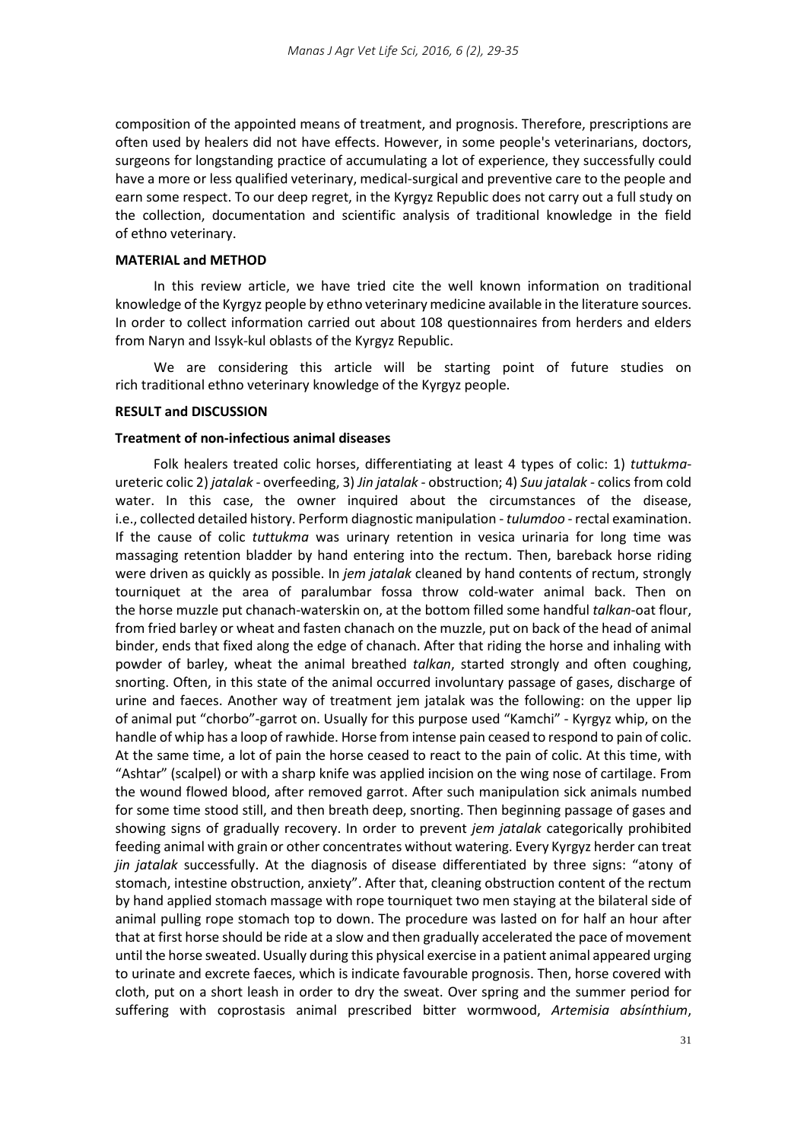composition of the appointed means of treatment, and prognosis. Therefore, prescriptions are often used by healers did not have effects. However, in some people's veterinarians, doctors, surgeons for longstanding practice of accumulating a lot of experience, they successfully could have a more or less qualified veterinary, medical-surgical and preventive care to the people and earn some respect. To our deep regret, in the Kyrgyz Republic does not carry out a full study on the collection, documentation and scientific analysis of traditional knowledge in the field of ethno veterinary.

#### **MATERIAL and METHOD**

In this review article, we have tried cite the well known information on traditional knowledge of the Kyrgyz people by ethno veterinary medicine available in the literature sources. In order to collect information carried out about 108 questionnaires from herders and elders from Naryn and Issyk-kul oblasts of the Kyrgyz Republic.

We are considering this article will be starting point of future studies on rich traditional ethno veterinary knowledge of the Kyrgyz people.

## **RESULT and DISCUSSION**

## **Treatment of non-infectious animal diseases**

Folk healers treated colic horses, differentiating at least 4 types of colic: 1) *tuttukma*ureteric colic 2) *jatalak* - overfeeding, 3) *Jin jatalak* - obstruction; 4) *Suu jatalak* - colics from cold water. In this case, the owner inquired about the circumstances of the disease, i.e., collected detailed history. Perform diagnostic manipulation - *tulumdoo* - rectal examination. If the cause of colic *tuttukma* was urinary retention in vesica urinaria for long time was massaging retention bladder by hand entering into the rectum. Then, bareback horse riding were driven as quickly as possible. In *jem jatalak* cleaned by hand contents of rectum, strongly tourniquet at the area of paralumbar fossa throw cold-water animal back. Then on the horse muzzle put chanach-waterskin on, at the bottom filled some handful *talkan*-oat flour, from fried barley or wheat and fasten chanach on the muzzle, put on back of the head of animal binder, ends that fixed along the edge of chanach. After that riding the horse and inhaling with powder of barley, wheat the animal breathed *talkan*, started strongly and often coughing, snorting. Often, in this state of the animal occurred involuntary passage of gases, discharge of urine and faeces. Another way of treatment jem jatalak was the following: on the upper lip of animal put "chorbo"-garrot on. Usually for this purpose used "Kamchi" - Kyrgyz whip, on the handle of whip has a loop of rawhide. Horse from intense pain ceased to respond to pain of colic. At the same time, a lot of pain the horse ceased to react to the pain of colic. At this time, with "Ashtar" (scalpel) or with a sharp knife was applied incision on the wing nose of cartilage. From the wound flowed blood, after removed garrot. After such manipulation sick animals numbed for some time stood still, and then breath deep, snorting. Then beginning passage of gases and showing signs of gradually recovery. In order to prevent *jem jatalak* categorically prohibited feeding animal with grain or other concentrates without watering. Every Kyrgyz herder can treat *jin jatalak* successfully. At the diagnosis of disease differentiated by three signs: "atony of stomach, intestine obstruction, anxiety". After that, cleaning obstruction content of the rectum by hand applied stomach massage with rope tourniquet two men staying at the bilateral side of animal pulling rope stomach top to down. The procedure was lasted on for half an hour after that at first horse should be ride at a slow and then gradually accelerated the pace of movement until the horse sweated. Usually during this physical exercise in a patient animal appeared urging to urinate and excrete faeces, which is indicate favourable prognosis. Then, horse covered with cloth, put on a short leash in order to dry the sweat. Over spring and the summer period for suffering with coprostasis animal prescribed bitter wormwood, *Artemisia absínthium*,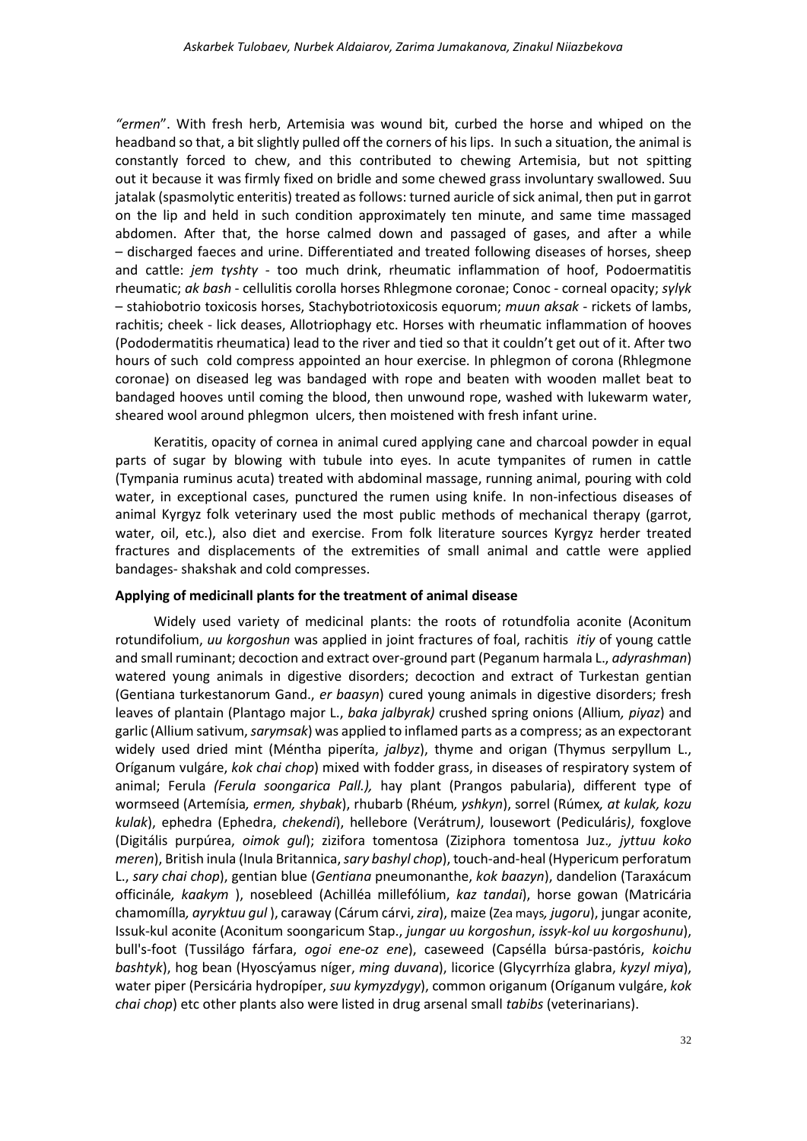*"ermen*". With fresh herb, Artemisia was wound bit, curbed the horse and whiped on the headband so that, a bit slightly pulled off the corners of his lips. In such a situation, the animal is constantly forced to chew, and this contributed to chewing Artemisia, but not spitting out it because it was firmly fixed on bridle and some chewed grass involuntary swallowed. Suu jatalak (spasmolytic enteritis) treated as follows: turned auricle of sick animal, then put in garrot on the lip and held in such condition approximately ten minute, and same time massaged abdomen. After that, the horse calmed down and passaged of gases, and after a while – discharged faeces and urine. Differentiated and treated following diseases of horses, sheep and cattle: *jem tүshtү* - too much drink, rheumatic inflammation of hoof, Podoermatitis rheumatic; *ak bash* - cellulitis corolla horses Rhlegmone coronae; Conoc - corneal opacity; *sүlүk* – stahiobotrio toxicosis horses, Stachybotriotoxicosis equorum; *muun aksak* - rickets of lambs, rachitis; cheek - lick deases, Allotriophagy etc. Horses with rheumatic inflammation of hooves (Рododermatitis rheumatica) lead to the river and tied so that it couldn't get out of it. After two hours of such cold compress appointed an hour exercise. In phlegmon of corona (Rhlegmone coronae) on diseased leg was bandaged with rope and beaten with wooden mallet beat to bandaged hooves until coming the blood, then unwound rope, washed with lukewarm water, sheared wool around phlegmon ulcers, then moistened with fresh infant urine.

Keratitis, opacity of cornea in animal cured applying cane and charcoal powder in equal parts of sugar by blowing with tubule into eyes. In acute tympanites of rumen in cattle (Tympania ruminus acuta) treated with abdominal massage, running animal, pouring with cold water, in exceptional cases, punctured the rumen using knife. In non-infectious diseases of animal Kyrgyz folk veterinary used the most public methods of mechanical therapy (garrot, water, oil, etc.), also diet and exercise. From folk literature sources Kyrgyz herder treated fractures and displacements of the extremities of small animal and cattle were applied bandages- shakshak and cold compresses.

## **Applying of medicinall plants for the treatment of animal disease**

Widely used variety of medicinal plants: the roots of rotundfolia aconite (Aconitum rotundifolium, *uu korgoshun* was applied in joint fractures of foal, rachitis *itiy* of young cattle and small ruminant; decoction and extract over-ground part (Peganum harmala L., *adyrashman*) watered young animals in digestive disorders; decoction and extract of Turkestan gentian (Gentiana turkestanorum Gand., *er baasyn*) cured young animals in digestive disorders; fresh leaves of plantain (Plantago major L., *baka jalbyrak)* crushed spring onions (Allium*, piyaz*) and garlic (Allium sativum, *sarymsak*) was applied to inflamed parts as a compress; as an expectorant widely used dried mint (Méntha piperíta, *jalbyz*), thyme and origan (Thymus serpyllum L., Oríganum vulgáre, *kok chai chop*) mixed with fodder grass, in diseases of respiratory system of animal; Ferula *(Ferula soongarica Pall.),* hay plant (Prangos pabularia), different type of wormseed (Artemísia*, ermen, shybak*), rhubarb (Rhéum*, yshkyn*), sorrel (Rúmex*, at kulak, kozu kulak*), ephedra (Ephedra, *chekendi*), hellebore (Verátrum*)*, lousewort (Pediculáris*)*, foxglove (Digitális purpúrea, *oimok gul*); zizifora tomentosa (Ziziphora tomentosa Juz.*, jyttuu koko meren*), British inula (Inula Britannica, *sary bashyl chop*), touch-and-heal (Hypericum perforatum L., *sary chai chop*), gentian blue (*Gentiana* pneumonanthe, *kok baazyn*), dandelion (Taraxácum officinále*, kaakym* ), nosebleed (Achilléa millefólium, *kaz tandai*), horse gowan (Matricária chamomílla*, ayryktuu gul* ), caraway (Cárum cárvi,*zira*), maize [\(Zea mays](http://ru.wikipedia.org/wiki/Zea_mays)*, jugoru*), jungar aconite, Issuk-kul aconite (Aconitum soongaricum Stap., *jungar uu korgoshun*, *issyk-kol uu korgoshunu*), bull's-foot (Tussilágo fárfara, *ogoi ene-oz ene*), caseweed (Capsélla búrsa-pastóris, *koichu bashtyk*), hog bean (Hyoscýamus níger, *ming duvana*), licorice (Glycyrrhíza glabra, *kyzyl miya*), water piper (Persicária hydropíper, *suu kymyzdygy*), common origanum (Oríganum vulgáre, *kok chai chop*) etc other plants also were listed in drug arsenal small *tabibs* (veterinarians).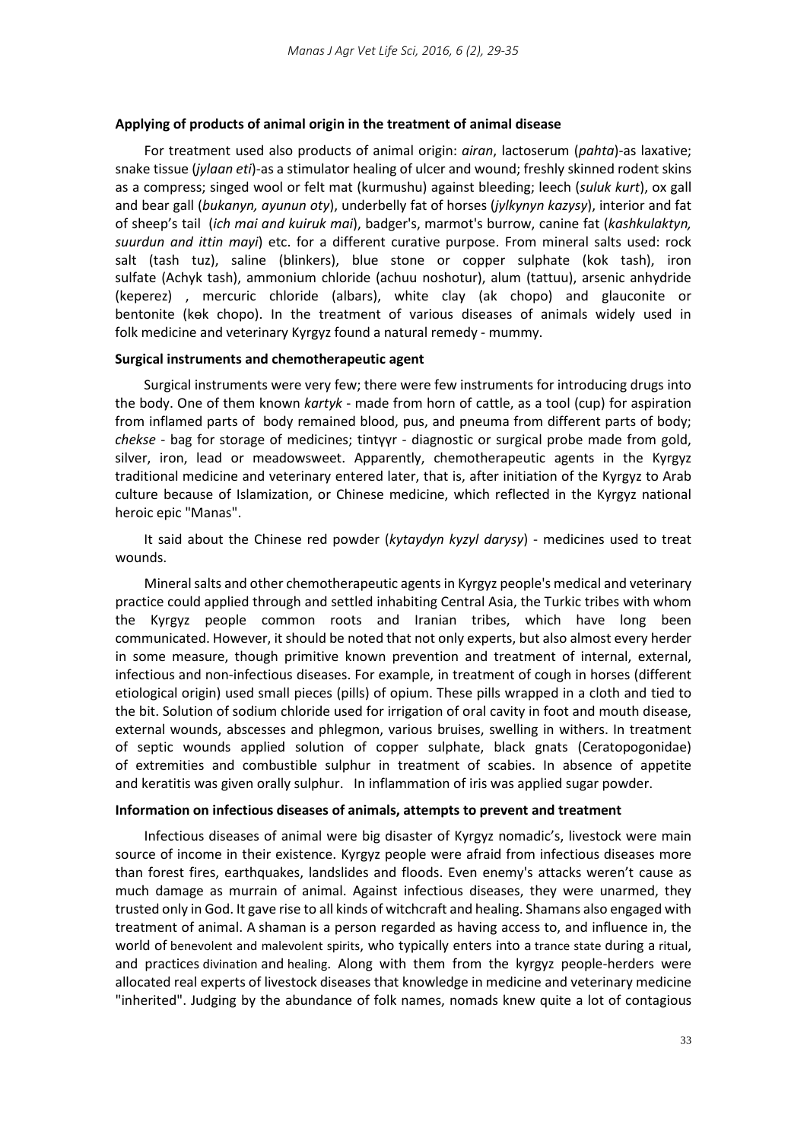## **Applying of products of animal origin in the treatment of animal disease**

For treatment used also products of animal origin: *airan*, lactoserum (*pahta*)-as laxative; snake tissue (*jylaan eti*)-as a stimulator healing of ulcer and wound; freshly skinned rodent skins as a compress; singed wool or felt mat (kurmushu) against bleeding; leech (*suluk kurt*), ox gall and bear gall (*bukanyn, ayunun oty*), underbelly fat of horses (*jylkynyn kazysy*), interior and fat of sheep's tail (*ich mai and kuiruk mai*), badger's, marmot's burrow, canine fat (*kashkulaktyn, suurdun and ittin mayi*) etc. for a different curative purpose. From mineral salts used: rock salt (tash tuz), saline (blinkers), blue stone or copper sulphate (kok tash), iron sulfate (Achyk tash), ammonium chloride (achuu noshotur), alum (tattuu), arsenic anhydride (keperez) , mercuric chloride (albars), white clay (ak chopo) and glauconite or bentonite (kөk chopo). In the treatment of various diseases of animals widely used in folk medicine and veterinary Kyrgyz found a natural remedy - mummy.

#### **Surgical instruments and chemotherapeutic agent**

Surgical instruments were very few; there were few instruments for introducing drugs into the body. One of them known *kartyk* - made from horn of cattle, as a tool (cup) for aspiration from inflamed parts of body remained blood, pus, and pneuma from different parts of body; *chekse* - bag for storage of medicines; tintүүr - diagnostic or surgical probe made from gold, silver, iron, lead or meadowsweet. Apparently, chemotherapeutic agents in the Kyrgyz traditional medicine and veterinary entered later, that is, after initiation of the Kyrgyz to Arab culture because of Islamization, or Chinese medicine, which reflected in the Kyrgyz national heroic epic "Manas".

It said about the Chinese red powder (*kytaydyn kyzyl darysy*) - medicines used to treat wounds.

Mineral salts and other chemotherapeutic agents in Kyrgyz people's medical and veterinary practice could applied through and settled inhabiting Central Asia, the Turkic tribes with whom the Kyrgyz people common roots and Iranian tribes, which have long been communicated. However, it should be noted that not only experts, but also almost every herder in some measure, though primitive known prevention and treatment of internal, external, infectious and non-infectious diseases. For example, in treatment of cough in horses (different etiological origin) used small pieces (pills) of opium. These pills wrapped in a cloth and tied to the bit. Solution of sodium chloride used for irrigation of oral cavity in foot and mouth disease, external wounds, abscesses and phlegmon, various bruises, swelling in withers. In treatment of septic wounds applied solution of copper sulphate, black gnats (Ceratopogonidae) of extremities and combustible sulphur in treatment of scabies. In absence of appetite and keratitis was given orally sulphur. In inflammation of iris was applied sugar powder.

#### **Information on infectious diseases of animals, attempts to prevent and treatment**

Infectious diseases of animal were big disaster of Kyrgyz nomadic's, livestock were main source of income in their existence. Kyrgyz people were afraid from infectious diseases more than forest fires, earthquakes, landslides and floods. Even enemy's attacks weren't cause as much damage as murrain of animal. Against infectious diseases, they were unarmed, they trusted only in God. It gave rise to all kinds of witchcraft and healing. Shamans also engaged with treatment of animal. A shaman is a person regarded as having access to, and influence in, the world of [benevolent and malevolent spirits,](https://en.wikipedia.org/wiki/Evocation) who typically enters into a [trance state](https://en.wikipedia.org/wiki/Trance) during a [ritual,](https://en.wikipedia.org/wiki/Ritual) and practices [divination](https://en.wikipedia.org/wiki/Divination) and [healing.](https://en.wikipedia.org/wiki/Healing) Along with them from the kyrgyz people-herders were allocated real experts of livestock diseases that knowledge in medicine and veterinary medicine "inherited". Judging by the abundance of folk names, nomads knew quite a lot of contagious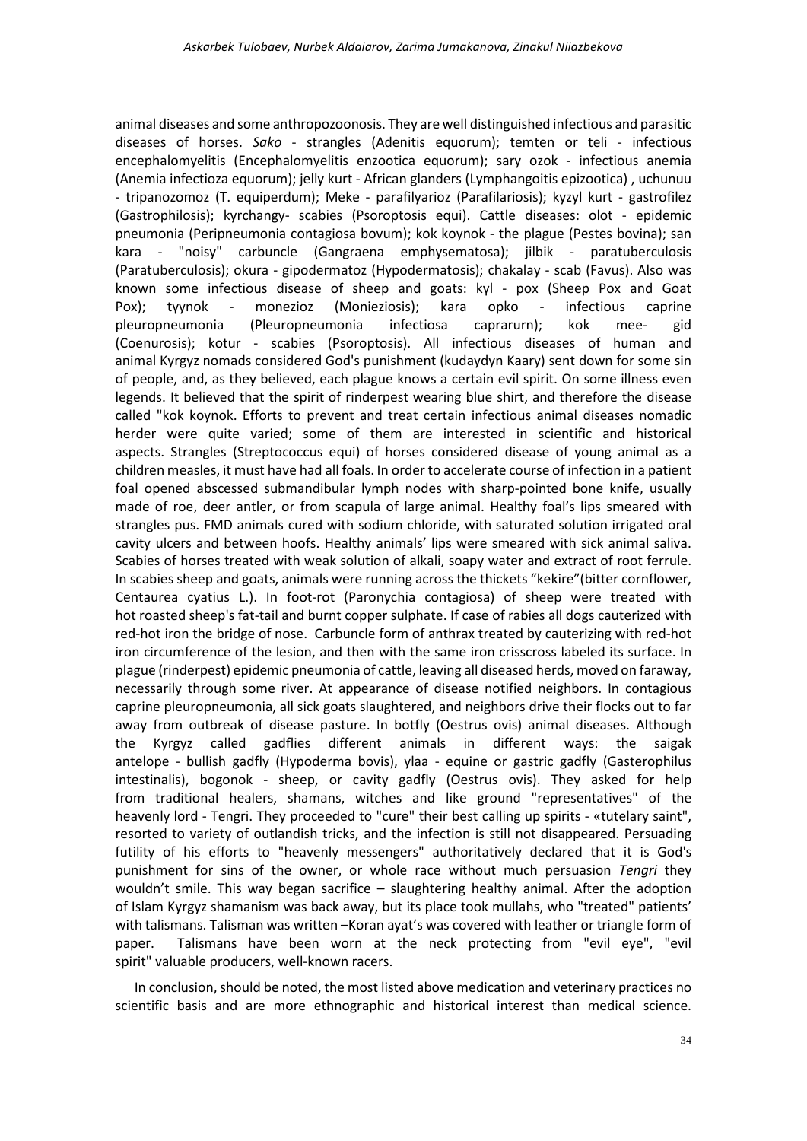animal diseases and some anthropozoonosis. They are well distinguished infectious and parasitic diseases of horses. *Sako* - strangles (Adenitis equorum); temten or teli - infectious encephalomyelitis (Encephalomyelitis enzootica equorum); sary ozok - infectious anemia (Anemia infectioza equorum); jelly kurt - African glanders (Lymphangoitis epizootica) , uchunuu - tripanozomoz (T. equiperdum); Meke - parafilyarioz (Parafilariosis); kyzyl kurt - gastrofilez (Gastrophilosis); kyrchangy- scabies (Psoroptosis equi). Cattle diseases: olot - epidemic pneumonia (Peripneumonia contagiosa bovum); kok koynok - the plague (Pestes bovina); san kara - "noisy" carbuncle (Gangraena emphysematosa); jilbik - paratuberculosis (Paratuberculosis); okura - gipodermatoz (Hypodermatosis); chakalay - scab (Favus). Also was known some infectious disease of sheep and goats: kүl - pox (Sheep Pox and Goat Pox); tүynok - monezioz (Monieziosis); kara opko - infectious caprine pleuropneumonia (Pleuropneumonia infectiosa caprarurn); kok mee- gid (Coenurosis); kotur - scabies (Psoroptosis). All infectious diseases of human and animal Kyrgyz nomads considered God's punishment (kudaydyn Kaary) sent down for some sin of people, and, as they believed, each plague knows a certain evil spirit. On some illness even legends. It believed that the spirit of rinderpest wearing blue shirt, and therefore the disease called "kok koynok. Efforts to prevent and treat certain infectious animal diseases nomadic herder were quite varied; some of them are interested in scientific and historical aspects. Strangles (Streptococcus equi) of horses considered disease of young animal as a children measles, it must have had all foals. In order to accelerate course of infection in a patient foal opened abscessed submandibular lymph nodes with sharp-pointed bone knife, usually made of roe, deer antler, or from scapula of large animal. Healthy foal's lips smeared with strangles pus. FMD animals cured with sodium chloride, with saturated solution irrigated oral cavity ulcers and between hoofs. Healthy animals' lips were smeared with sick animal saliva. Scabies of horses treated with weak solution of alkali, soapy water and extract of root ferrule. In scabies sheep and goats, animals were running across the thickets "kekire"(bitter cornflower, Centaurea cyatius L.). In foot-rot (Paronychia contagiosa) of sheep were treated with hot roasted sheep's fat-tail and burnt copper sulphate. If case of rabies all dogs cauterized with red-hot iron the bridge of nose. Carbuncle form of anthrax treated by cauterizing with red-hot iron circumference of the lesion, and then with the same iron crisscross labeled its surface. In plague (rinderpest) epidemic pneumonia of cattle, leaving all diseased herds, moved on faraway, necessarily through some river. At appearance of disease notified neighbors. In contagious caprine pleuropneumonia, all sick goats slaughtered, and neighbors drive their flocks out to far away from outbreak of disease pasture. In botfly (Oestrus ovis) animal diseases. Although the Kyrgyz called gadflies different animals in different ways: the saigak antelope - bullish gadfly (Hypoderma bovis), ylaa - equine or gastric gadfly (Gasterophilus intestinalis), bogonok - sheep, or cavity gadfly (Oestrus ovis). They asked for help from traditional healers, shamans, witches and like ground "representatives" of the heavenly lord - Tengri. They proceeded to "cure" their best calling up spirits - «tutelary saint", resorted to variety of outlandish tricks, and the infection is still not disappeared. Persuading futility of his efforts to "heavenly messengers" authoritatively declared that it is God's punishment for sins of the owner, or whole race without much persuasion *Tengri* they wouldn't smile. This way began sacrifice – slaughtering healthy animal. After the adoption of Islam Kyrgyz shamanism was back away, but its place took mullahs, who "treated" patients' with talismans. Talisman was written - Koran ayat's was covered with leather or triangle form of paper. Talismans have been worn at the neck protecting from "evil eye", "evil spirit" valuable producers, well-known racers.

In conclusion, should be noted, the most listed above medication and veterinary practices no scientific basis and are more ethnographic and historical interest than medical science.